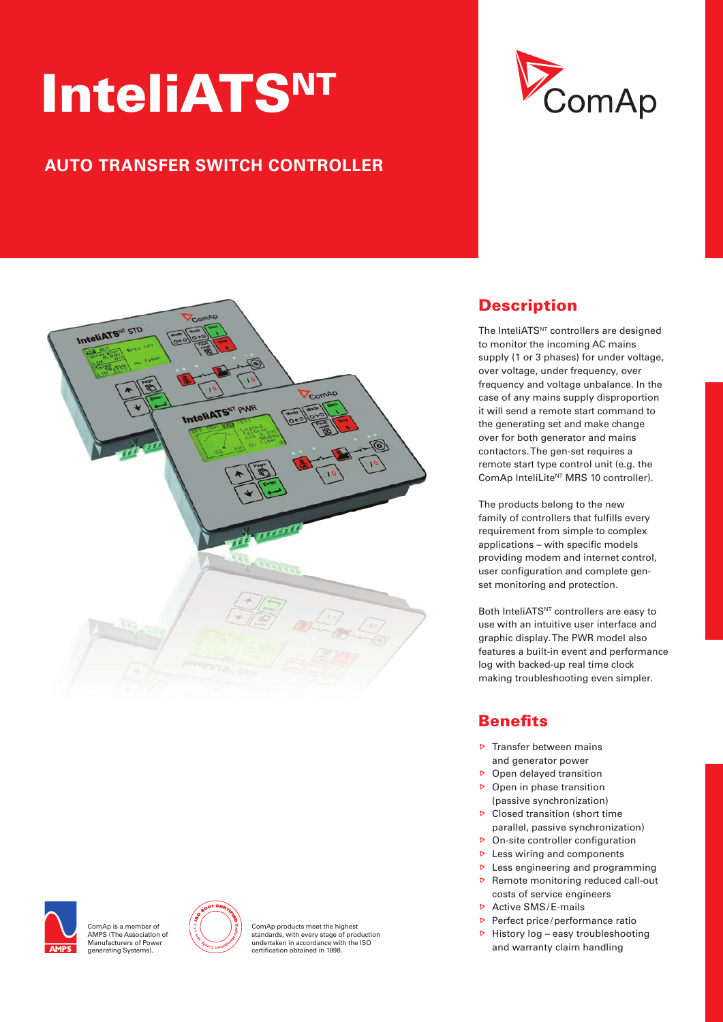# InteliATSNT

# **AUTO TRANSFER SWITCH CONTROLLER**







.<br>ComAp is a member of AMPs (The Association of Manufacturers of Power generating systems).



ComAp products meet the highest standards, with every stage of production undertaken in accordance with the Iso certifi cation obtained in 1998.

# **Description**

The InteliATS<sup>NT</sup> controllers are designed to monitor the incoming AC mains supply (1 or 3 phases) for under voltage, over voltage, under frequency, over frequency and voltage unbalance. In the case of any mains supply disproportion it will send a remote start command to the generating set and make change over for both generator and mains contactors. The gen-set requires a remote start type control unit (e.g. the ComAp InteliLite<sup>NT</sup> MRS 10 controller).

The products belong to the new family of controllers that fulfills every requirement from simple to complex applications - with specific models providing modem and internet control, user configuration and complete genset monitoring and protection.

Both InteliATS<sup>NT</sup> controllers are easy to use with an intuitive user interface and graphic display. The PWR model also features a built-in event and performance log with backed-up real time clock making troubleshooting even simpler.

# **Benefits**

- $\triangleright$  Transfer between mains and generator power
- $\triangleright$  Open delayed transition
- $\triangleright$  Open in phase transition (passive synchronization)
- $\triangleright$  Closed transition (short time parallel, passive synchronization)
- $\triangleright$  On-site controller configuration
- $\triangleright$  Less wiring and components
- $\triangleright$  Less engineering and programming
- $\triangleright$  Remote monitoring reduced call-out costs of service engineers
- $\triangleright$  Active SMS/E-mails
- Perfect price/performance ratio
- $\triangleright$  History log easy troubleshooting and warranty claim handling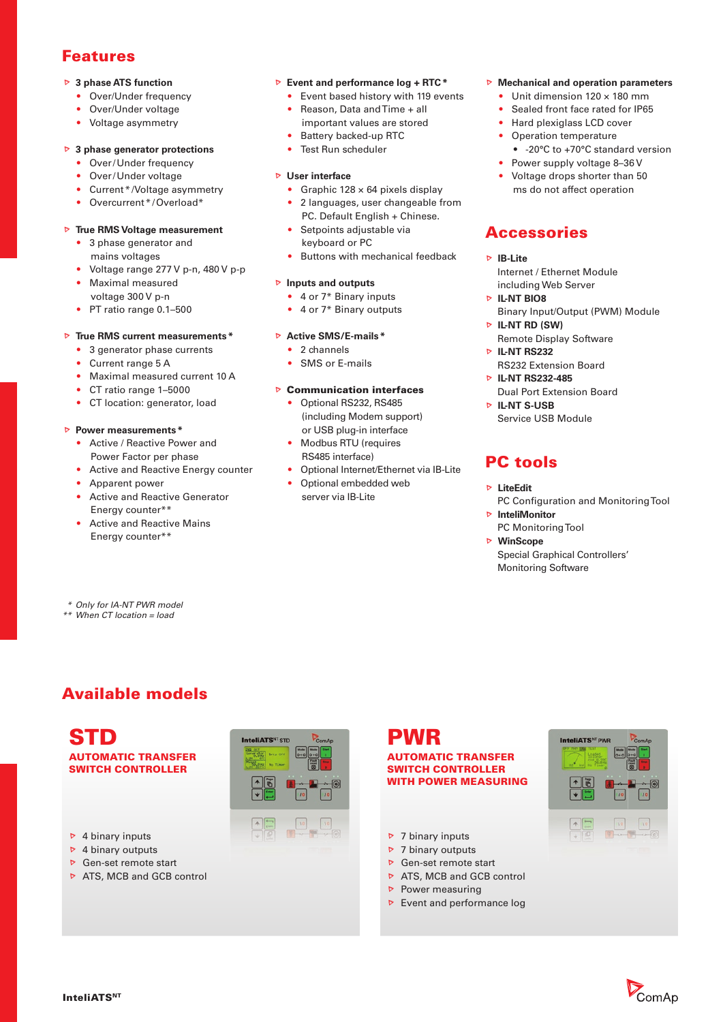## Features

#### **3 phase ATS function**

- Over/Under frequency
- Over/Under voltage
- Voltage asymmetry

#### **3 phase generator protections**

- Over/Under frequency
- Over/Under voltage
- Current \* / Voltage asymmetry
- Overcurrent \*/Overload\*

#### **True RMS Voltage measurement**

- 3 phase generator and mains voltages
- Voltage range 277 V p-n, 480 V p-p
- Maximal measured voltage 300 V p-n
- PT ratio range 0.1-500

#### **True RMS current measurements \***

- 3 generator phase currents
- Current range 5 A
- Maximal measured current 10 A
- CT ratio range 1–5000
- CT location: generator, load

#### **Power measurements \***

- Active / Reactive Power and Power Factor per phase
- Active and Reactive Energy counter
- Apparent power
- Active and Reactive Generator Energy counter\*\*
- Active and Reactive Mains Energy counter\*\*

#### **Event and performance log + RTC \***

- Event based history with 119 events • Reason, Data and Time + all
- important values are stored
- Battery backed-up RTC
- Test Run scheduler

#### **User interface**

- Graphic  $128 \times 64$  pixels display • 2 languages, user changeable from
- PC. Default English + Chinese. Setpoints adjustable via
	- keyboard or PC
- Buttons with mechanical feedback

#### **Inputs and outputs**

- $\bullet$  4 or  $7*$  Binary inputs
- 4 or 7\* Binary outputs

#### **Active SMS/E-mails \***

- 2 channels
- sMs or E-mails

#### **▶ Communication interfaces**

- Optional RS232, RS485 (including Modem support) or USB plug-in interface
- Modbus RTu (requires Rs485 interface)
- optional Internet/Ethernet via Ib-Lite
- Optional embedded web server via IB-Lite

#### **Mechanical and operation parameters**

- Unit dimension  $120 \times 180$  mm
- Sealed front face rated for IP65
- Hard plexiglass LCD cover
- Operation temperature
- -20°C to +70°C standard version
- Power supply voltage 8-36 V • Voltage drops shorter than 50 ms do not affect operation

# **Accessories**

- **IB-Lite** Internet / Ethernet Module including Web Server
- **E** IL-NT BIO8 Binary Input/Output (PWM) Module
- **IL-NT RD (SW)** Remote Display Software
- **IL-NT RS232** Rs232 Extension board
- **IL-NT RS232-485**
- Dual Port Extension board **IL-NT S-USB**
- Service USB Module

# PC tools

- **LiteEdit** PC Configuration and Monitoring Tool
- **InteliMonitor** PC Monitoring Tool
- **WinScope** special Graphical Controllers' **Monitoring Software**

# Available models

 *\* Only for IA-NT PWR model \*\* When CT location = load*

STD AUTOMATIC TRANSFER SWITCH CONTROLLER

 $\triangleright$  4 binary inputs  $\triangleright$  4 binary outputs ▶ Gen-set remote start  $\triangleright$  ATS, MCB and GCB control



# PWR

#### AUTOMATIC TRANSFER SWITCH CONTROLLER WITH POWER MEASURING

- $\triangleright$  7 binary inputs
- $\triangleright$  7 binary outputs
- Gen-set remote start
- $\triangleright$  ATS, MCB and GCB control
- $\triangleright$  Power measuring
- $\triangleright$  Event and performance log



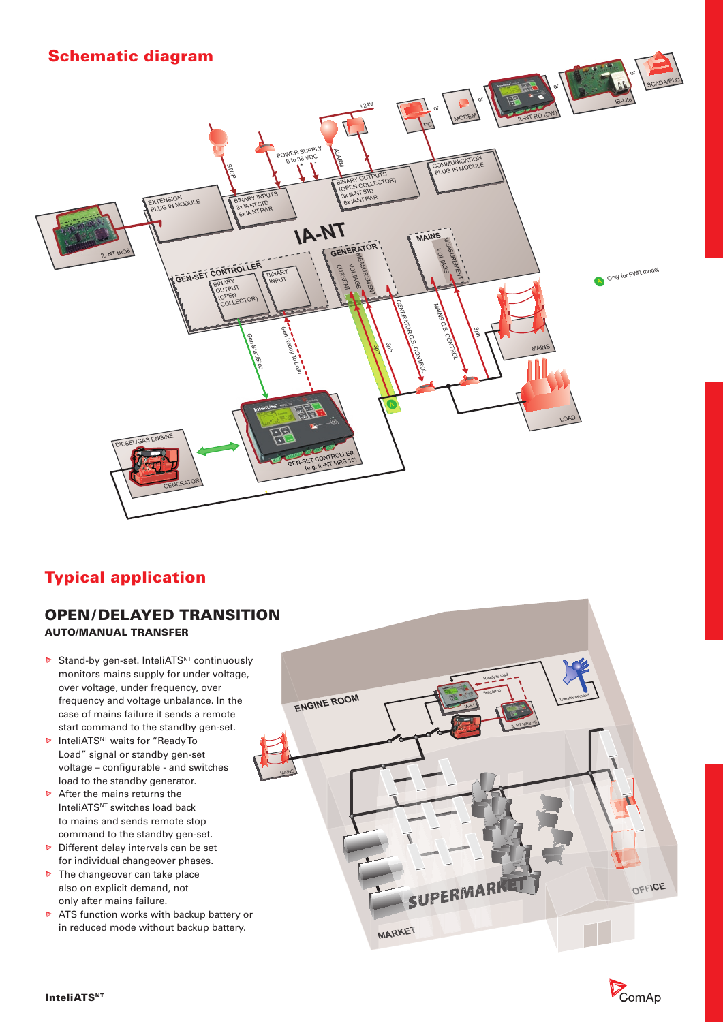## Schematic diagram



# Typical application

#### OPEN / DELAYED TRANSITION AUTO/MANUAL TRANSFER

- $\triangleright$  Stand-by gen-set. InteliATS<sup>NT</sup> continuously monitors mains supply for under voltage, over voltage, under frequency, over frequency and voltage unbalance. In the case of mains failure it sends a remote start command to the standby gen-set.
- **D** InteliATS<sup>NT</sup> waits for "Ready To Load" signal or standby gen-set voltage – configurable - and switches load to the standby generator.
- $\triangleright$  After the mains returns the InteliATS<sup>NT</sup> switches load back to mains and sends remote stop command to the standby gen-set.
- $\triangleright$  Different delay intervals can be set for individual changeover phases.
- $\triangleright$  The changeover can take place also on explicit demand, not only after mains failure.
- $\triangleright$  ATS function works with backup battery or in reduced mode without backup battery.